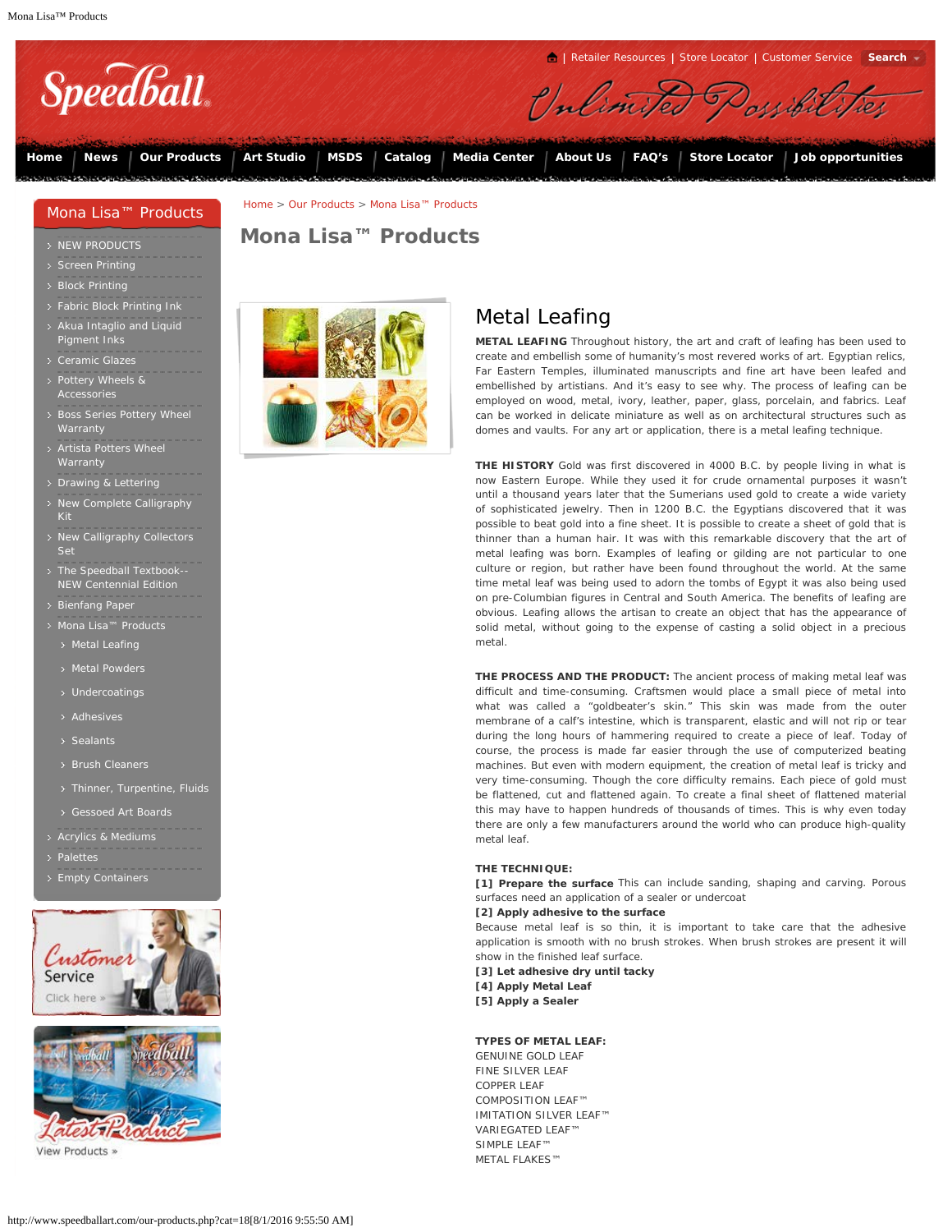<span id="page-0-0"></span>

<span id="page-0-1"></span>Mona Lisa™ Products

# **Mona Lisa™ Products** Mona Lisa™ Products

- > [Screen Printing](http://www.speedballart.com/our-products.php?cat=21)
- > [Block Printing](http://www.speedballart.com/our-products.php?cat=13)
- > [Fabric Block Printing Ink](http://www.speedballart.com/our-products.php?cat=415) > [Akua Intaglio and Liquid](http://www.speedballart.com/our-products.php?cat=378)
- [Pigment Inks](http://www.speedballart.com/our-products.php?cat=378)
- > [Ceramic Glazes](http://www.speedballart.com/our-products.php?cat=15)
- > [Pottery Wheels &](http://www.speedballart.com/our-products.php?cat=20) [Accessories](http://www.speedballart.com/our-products.php?cat=20)
- > [Boss Series Pottery Wheel](http://www.speedballart.com/warranty_form.php) [Warranty](http://www.speedballart.com/warranty_form.php)
- > [Artista Potters Wheel](http://www.speedballart.com/warranty_form2.php) [Warranty](http://www.speedballart.com/warranty_form2.php)
- 
- > [New Complete Calligraphy](http://www.speedballart.com/our-products.php?cat=452) [Kit](http://www.speedballart.com/our-products.php?cat=452)
- > [New Calligraphy Collectors](http://www.speedballart.com/our-products.php?cat=453) [Set](http://www.speedballart.com/our-products.php?cat=453)
- [The Speedball Textbook--](http://www.speedballart.com/our-products.php?cat=443) [NEW Centennial Edition](http://www.speedballart.com/our-products.php?cat=443)
- > [Bienfang Paper](http://www.speedballart.com/our-products.php?cat=12)
- - [Metal Leafing](#page-0-0)
	-
	- [Undercoatings](#page-0-0)
	- $\rightarrow$  [Adhesives](#page-0-0)
	- > [Sealants](#page-0-0)
	-
	- [Thinner, Turpentine, Fluids](#page-0-0)
	- [Gessoed Art Boards](#page-0-0)
- > [Acrylics & Mediums](http://www.speedballart.com/our-products.php?cat=11)
- 
- **[Empty Containers](http://www.speedballart.com/our-products.php?cat=22)**





View Products »



[Home](http://www.speedballart.com/index.php) > [Our Products](http://www.speedballart.com/our-products.php) > [Mona Lisa™ Products](#page-0-0)

## Metal Leafing

**METAL LEAFING** Throughout history, the art and craft of leafing has been used to create and embellish some of humanity's most revered works of art. Egyptian relics, Far Eastern Temples, illuminated manuscripts and fine art have been leafed and embellished by artistians. And it's easy to see why. The process of leafing can be employed on wood, metal, ivory, leather, paper, glass, porcelain, and fabrics. Leaf can be worked in delicate miniature as well as on architectural structures such as domes and vaults. For any art or application, there is a metal leafing technique.

**THE HISTORY** Gold was first discovered in 4000 B.C. by people living in what is now Eastern Europe. While they used it for crude ornamental purposes it wasn't until a thousand years later that the Sumerians used gold to create a wide variety of sophisticated jewelry. Then in 1200 B.C. the Egyptians discovered that it was possible to beat gold into a fine sheet. It is possible to create a sheet of gold that is thinner than a human hair. It was with this remarkable discovery that the art of metal leafing was born. Examples of leafing or gilding are not particular to one culture or region, but rather have been found throughout the world. At the same time metal leaf was being used to adorn the tombs of Egypt it was also being used on pre-Columbian figures in Central and South America. The benefits of leafing are obvious. Leafing allows the artisan to create an object that has the appearance of solid metal, without going to the expense of casting a solid object in a precious metal.

**THE PROCESS AND THE PRODUCT:** The ancient process of making metal leaf was difficult and time-consuming. Craftsmen would place a small piece of metal into what was called a "goldbeater's skin." This skin was made from the outer membrane of a calf's intestine, which is transparent, elastic and will not rip or tear during the long hours of hammering required to create a piece of leaf. Today of course, the process is made far easier through the use of computerized beating machines. But even with modern equipment, the creation of metal leaf is tricky and very time-consuming. Though the core difficulty remains. Each piece of gold must be flattened, cut and flattened again. To create a final sheet of flattened material this may have to happen hundreds of thousands of times. This is why even today there are only a few manufacturers around the world who can produce high-quality metal leaf.

### **THE TECHNIQUE:**

**[1] Prepare the surface** *This can include sanding, shaping and carving. Porous surfaces need an application of a sealer or undercoat* 

### **[2] Apply adhesive to the surface**

*Because metal leaf is so thin, it is important to take care that the adhesive application is smooth with no brush strokes. When brush strokes are present it will show in the finished leaf surface.* 

**[3] Let adhesive dry until tacky [4] Apply Metal Leaf [5] Apply a Sealer**

#### **TYPES OF METAL LEAF:**

GENUINE GOLD LEAF FINE SILVER LEAF COPPER LEAF COMPOSITION LEAF™ IMITATION SILVER LEAF™ VARIEGATED LEAF™ SIMPLE LEAF™ METAL FLAKES™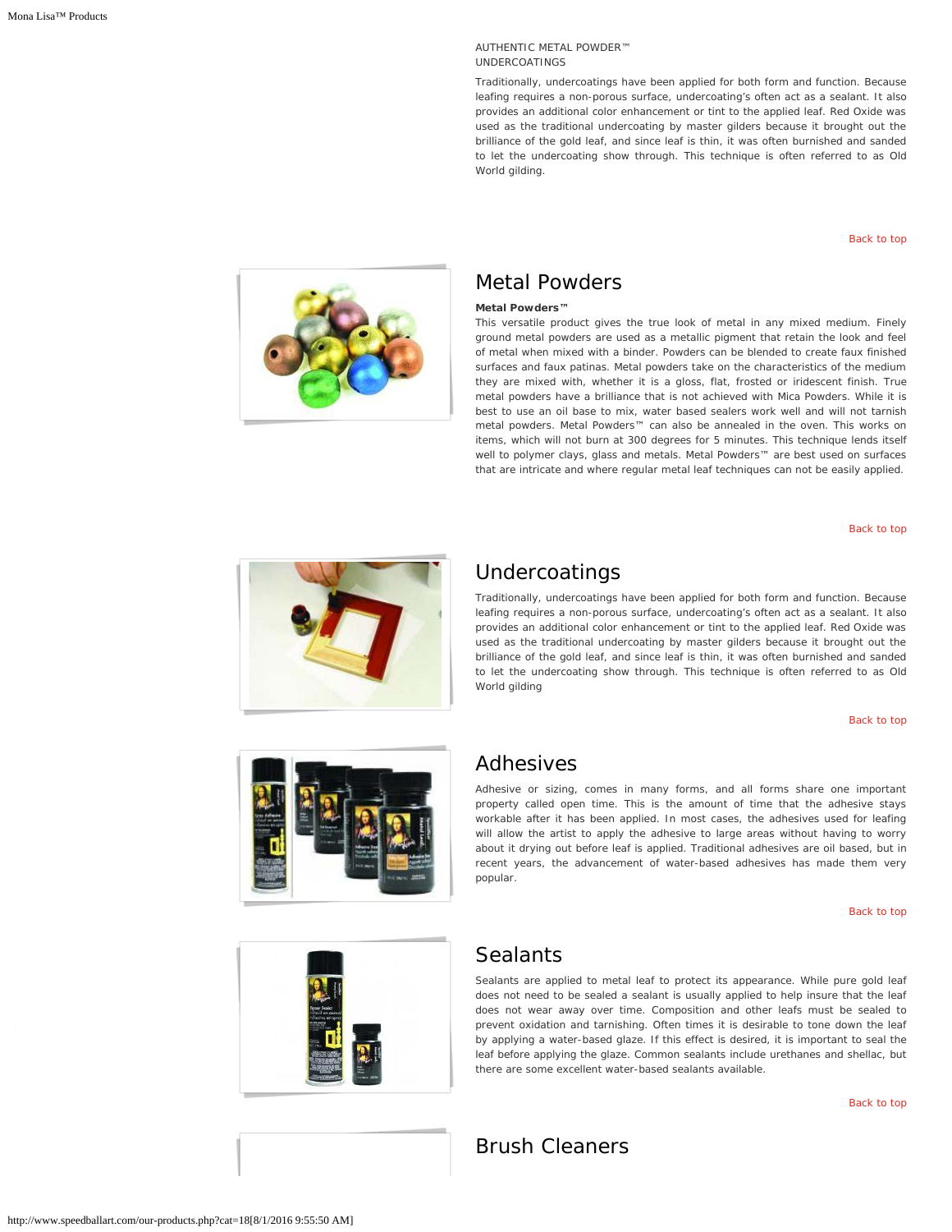AUTHENTIC METAL POWDER™ UNDERCOATINGS

Traditionally, undercoatings have been applied for both form and function. Because leafing requires a non-porous surface, undercoating's often act as a sealant. It also provides an additional color enhancement or tint to the applied leaf. Red Oxide was used as the traditional undercoating by master gilders because it brought out the brilliance of the gold leaf, and since leaf is thin, it was often burnished and sanded to let the undercoating show through. This technique is often referred to as Old World gilding.

[Back to top](#page-0-1)



## Metal Powders

### **Metal Powders™**

This versatile product gives the true look of metal in any mixed medium. Finely ground metal powders are used as a metallic pigment that retain the look and feel of metal when mixed with a binder. Powders can be blended to create faux finished surfaces and faux patinas. Metal powders take on the characteristics of the medium they are mixed with, whether it is a gloss, flat, frosted or iridescent finish. True metal powders have a brilliance that is not achieved with Mica Powders. While it is best to use an oil base to mix, water based sealers work well and will not tarnish metal powders. Metal Powders™ can also be annealed in the oven. This works on items, which will not burn at 300 degrees for 5 minutes. This technique lends itself well to polymer clays, glass and metals. Metal Powders™ are best used on surfaces that are intricate and where regular metal leaf techniques can not be easily applied.

[Back to top](#page-0-1)



## Undercoatings

Traditionally, undercoatings have been applied for both form and function. Because leafing requires a non-porous surface, undercoating's often act as a sealant. It also provides an additional color enhancement or tint to the applied leaf. Red Oxide was used as the traditional undercoating by master gilders because it brought out the brilliance of the gold leaf, and since leaf is thin, it was often burnished and sanded to let the undercoating show through. This technique is often referred to as Old World gilding

[Back to top](#page-0-1)



## Adhesives

Adhesive or sizing, comes in many forms, and all forms share one important property called open time. This is the amount of time that the adhesive stays workable after it has been applied. In most cases, the adhesives used for leafing will allow the artist to apply the adhesive to large areas without having to worry about it drying out before leaf is applied. Traditional adhesives are oil based, but in recent years, the advancement of water-based adhesives has made them very popular.

[Back to top](#page-0-1)



## **Sealants**

Sealants are applied to metal leaf to protect its appearance. While pure gold leaf does not need to be sealed a sealant is usually applied to help insure that the leaf does not wear away over time. Composition and other leafs must be sealed to prevent oxidation and tarnishing. Often times it is desirable to tone down the leaf by applying a water-based glaze. If this effect is desired, it is important to seal the leaf before applying the glaze. Common sealants include urethanes and shellac, but there are some excellent water-based sealants available.

[Back to top](#page-0-1)

## Brush Cleaners

http://www.speedballart.com/our-products.php?cat=18[8/1/2016 9:55:50 AM]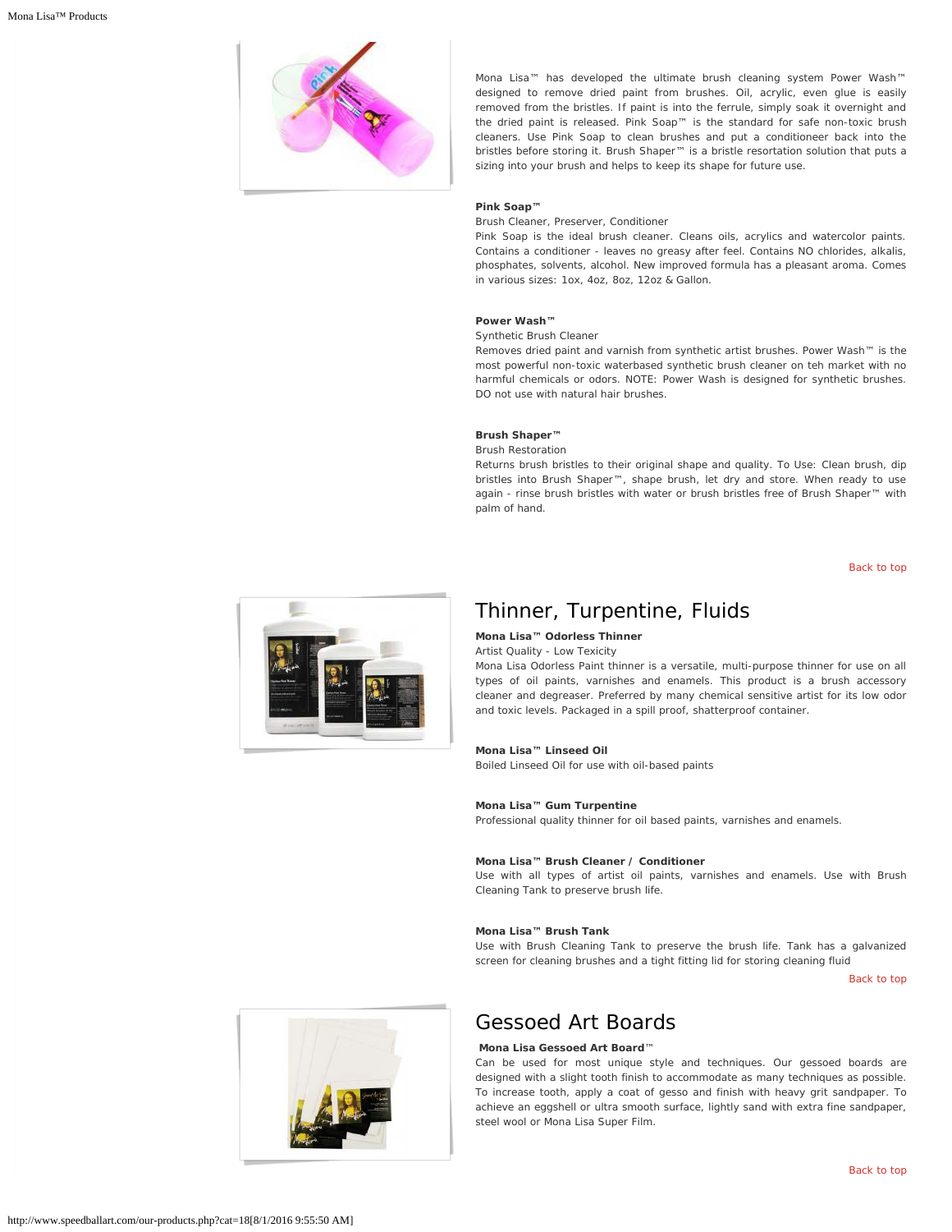

Mona Lisa™ has developed the ultimate brush cleaning system Power Wash™ designed to remove dried paint from brushes. Oil, acrylic, even glue is easily removed from the bristles. If paint is into the ferrule, simply soak it overnight and the dried paint is released. Pink Soap™ is the standard for safe non-toxic brush cleaners. Use Pink Soap to clean brushes and put a conditioneer back into the bristles before storing it. Brush Shaper™ is a bristle resortation solution that puts a sizing into your brush and helps to keep its shape for future use.

#### **Pink Soap™**

#### *Brush Cleaner, Preserver, Conditioner*

Pink Soap is the ideal brush cleaner. Cleans oils, acrylics and watercolor paints. Contains a conditioner - leaves no greasy after feel. Contains NO chlorides, alkalis, phosphates, solvents, alcohol. New improved formula has a pleasant aroma. Comes in various sizes: 1ox, 4oz, 8oz, 12oz & Gallon.

#### **Power Wash™**

#### *Synthetic Brush Cleaner*

Removes dried paint and varnish from synthetic artist brushes. Power Wash™ is the most powerful non-toxic waterbased synthetic brush cleaner on teh market with no harmful chemicals or odors. NOTE: Power Wash is designed for synthetic brushes. DO not use with natural hair brushes.

#### **Brush Shaper™**

#### *Brush Restoration*

Returns brush bristles to their original shape and quality. To Use: Clean brush, dip bristles into Brush Shaper™, shape brush, let dry and store. When ready to use again - rinse brush bristles with water or brush bristles free of Brush Shaper™ with palm of hand.

[Back to top](#page-0-1)



### Thinner, Turpentine, Fluids

### **Mona Lisa™ Odorless Thinner**

### Artist Quality - Low Texicity

Mona Lisa Odorless Paint thinner is a versatile, multi-purpose thinner for use on all types of oil paints, varnishes and enamels. This product is a brush accessory cleaner and degreaser. Preferred by many chemical sensitive artist for its low odor and toxic levels. Packaged in a spill proof, shatterproof container.

#### **Mona Lisa™ Linseed Oil**

Boiled Linseed Oil for use with oil-based paints

#### **Mona Lisa™ Gum Turpentine**

Professional quality thinner for oil based paints, varnishes and enamels.

#### **Mona Lisa™ Brush Cleaner / Conditioner**

Use with all types of artist oil paints, varnishes and enamels. Use with Brush Cleaning Tank to preserve brush life.

#### **Mona Lisa™ Brush Tank**

Use with Brush Cleaning Tank to preserve the brush life. Tank has a galvanized screen for cleaning brushes and a tight fitting lid for storing cleaning fluid

[Back to top](#page-0-1)



### Gessoed Art Boards

### **Mona Lisa Gessoed Art Board**™

Can be used for most unique style and techniques. Our gessoed boards are designed with a slight tooth finish to accommodate as many techniques as possible. To increase tooth, apply a coat of gesso and finish with heavy grit sandpaper. To achieve an eggshell or ultra smooth surface, lightly sand with extra fine sandpaper, steel wool or Mona Lisa Super Film.